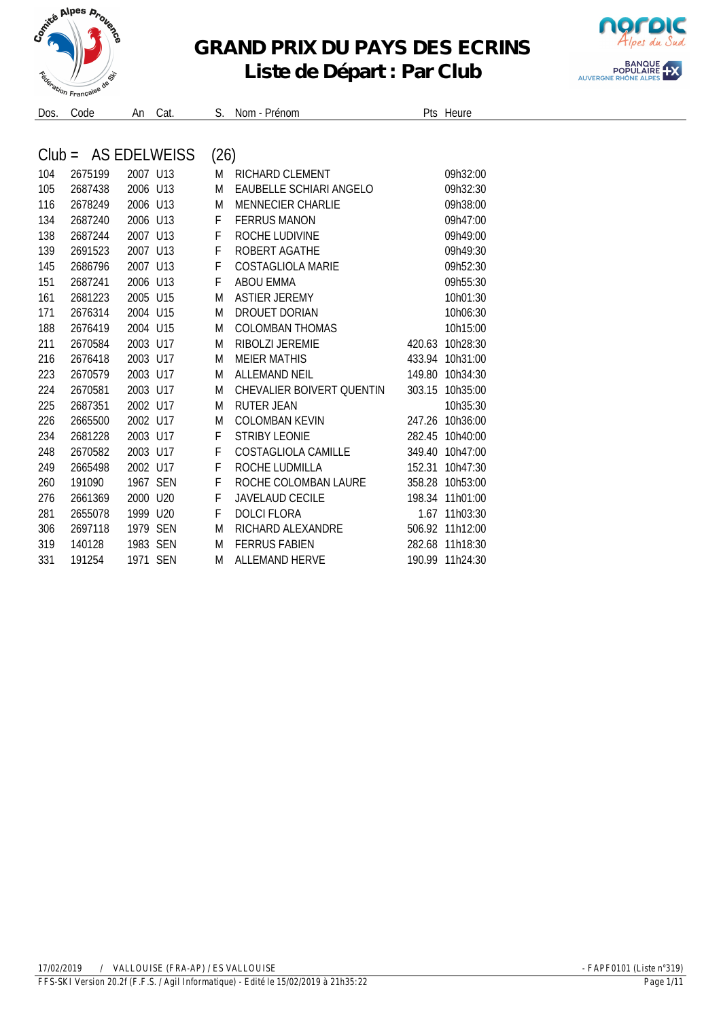

## **GRAND PRIX DU PAYS DES ECRINS**



## **Liste de Départ : Par Club**

| $Club =$ |         |           | AS EDELWEISS | (26) |                                  |        |          |
|----------|---------|-----------|--------------|------|----------------------------------|--------|----------|
| 104      | 2675199 | 2007 U13  |              | M    | <b>RICHARD CLEMENT</b>           |        | 09h32:00 |
| 105      | 2687438 | 2006 U13  |              | M    | EAUBELLE SCHIARI ANGELO          |        | 09h32:30 |
| 116      | 2678249 | 2006 U13  |              | M    | <b>MENNECIER CHARLIE</b>         |        | 09h38:00 |
| 134      | 2687240 | 2006 U13  |              | F    | <b>FFRRUS MANON</b>              |        | 09h47:00 |
| 138      | 2687244 | 2007 U13  |              | F    | ROCHE LUDIVINE                   |        | 09h49:00 |
| 139      | 2691523 | 2007 U13  |              | F    | ROBERT AGATHE                    |        | 09h49:30 |
| 145      | 2686796 | 2007 U13  |              | F    | COSTAGLIOLA MARIF                |        | 09h52:30 |
| 151      | 2687241 | 2006 U13  |              | F    | <b>ABOU EMMA</b>                 |        | 09h55:30 |
| 161      | 2681223 | 2005 U15  |              | M    | <b>ASTIER JEREMY</b>             |        | 10h01:30 |
| 171      | 2676314 | 2004 U15  |              | M    | DROUFT DORIAN                    |        | 10h06:30 |
| 188      | 2676419 | 2004 U15  |              | M    | <b>COLOMBAN THOMAS</b>           |        | 10h15:00 |
| 211      | 2670584 | 2003 U17  |              | M    | RIBOL 7L JEREMIE                 | 420.63 | 10h28:30 |
| 216      | 2676418 | 2003 U17  |              | M    | <b>MEIER MATHIS</b>              | 433.94 | 10h31:00 |
| 223      | 2670579 | 2003 U17  |              | M    | <b>ALLEMAND NEIL</b>             | 149.80 | 10h34:30 |
| 224      | 2670581 | 2003 U17  |              | M    | <b>CHEVALIER BOIVERT QUENTIN</b> | 303.15 | 10h35:00 |
| 225      | 2687351 | 2002 U17  |              | M    | <b>RUTER JEAN</b>                |        | 10h35:30 |
| 226      | 2665500 | 2002 1117 |              | M    | <b>COLOMBAN KEVIN</b>            | 247.26 | 10h36:00 |
| 234      | 2681228 | 2003 U17  |              | F    | <b>STRIBY LEONIE</b>             | 282.45 | 10h40:00 |
| 248      | 2670582 | 2003 U17  |              | F    | COSTAGLIOLA CAMILLE              | 349.40 | 10h47:00 |
| 249      | 2665498 | 2002 U17  |              | F    | ROCHE LUDMILLA                   | 152.31 | 10h47:30 |
| 260      | 191090  | 1967 SEN  |              | F    | ROCHE COLOMBAN LAURE             | 358.28 | 10h53:00 |
| 276      | 2661369 | 2000 U20  |              | F    | <b>JAVELAUD CECILE</b>           | 198.34 | 11h01:00 |
| 281      | 2655078 | 1999 U20  |              | F    | <b>DOLCI FLORA</b>               | 1.67   | 11h03:30 |
| 306      | 2697118 | 1979 SEN  |              | M    | RICHARD AI FXANDRF               | 506.92 | 11h12:00 |
| 319      | 140128  | 1983 SEN  |              | M    | <b>FERRUS FABIEN</b>             | 282.68 | 11h18:30 |
| 331      | 191254  | 1971 SEN  |              | M    | <b>ALLEMAND HERVE</b>            | 190.99 | 11h24:30 |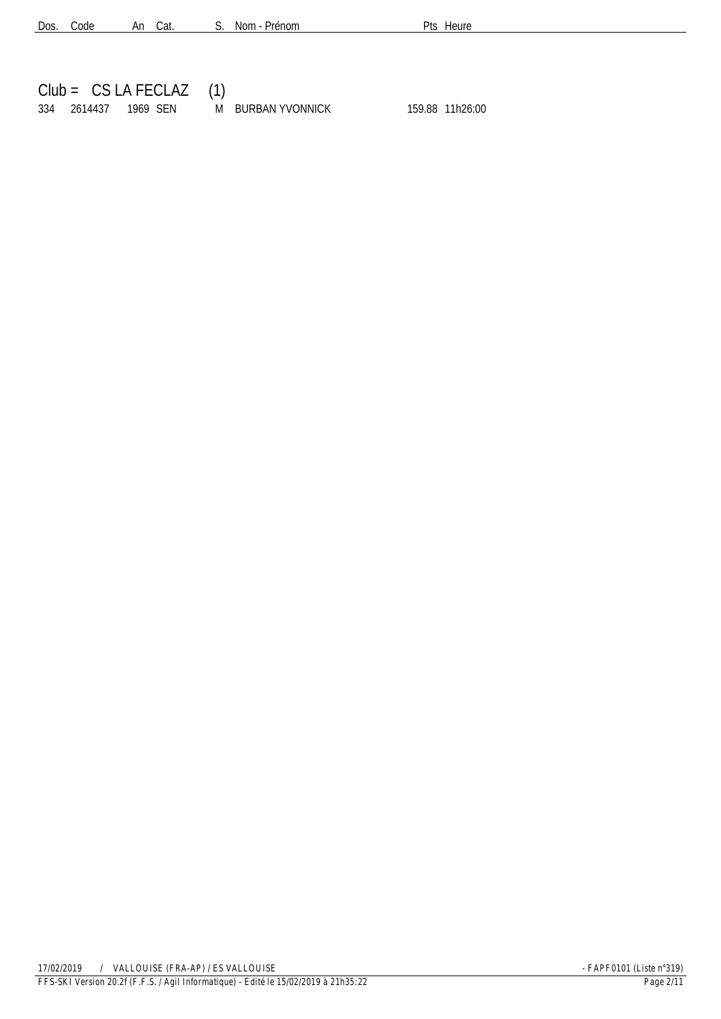| Dos. Code |  | An Cat. |  |  | S. Nom - Prénom |
|-----------|--|---------|--|--|-----------------|
|-----------|--|---------|--|--|-----------------|

Pts Heure

|  | $Club = CS LA FECLAZ (1)$ |                   |  |                 |  |
|--|---------------------------|-------------------|--|-----------------|--|
|  | 334 2614437 1969 SEN      | M BURBAN YVONNICK |  | 159.88 11h26:00 |  |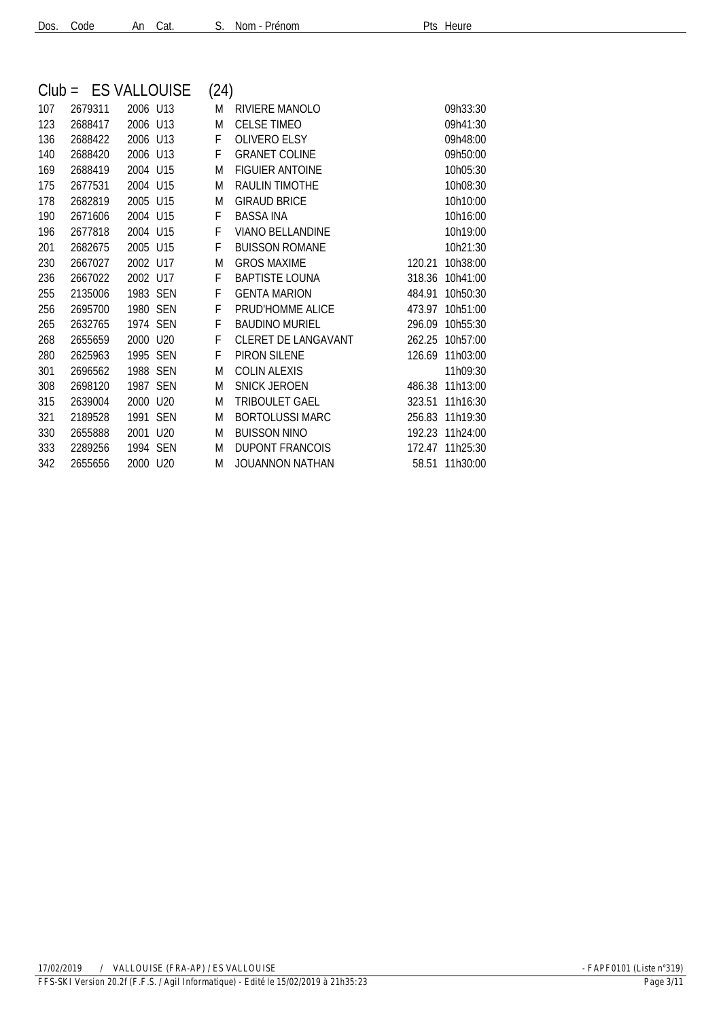| Dos. Code |  | An Cat. |  |
|-----------|--|---------|--|
|           |  |         |  |

| S. | Nom - Prénon |
|----|--------------|
|    |              |

| $Club =$ |         | <b>ES VALLOUISE</b> | (24) |                            |        |          |
|----------|---------|---------------------|------|----------------------------|--------|----------|
| 107      | 2679311 | 2006 U13            | M    | RIVIERE MANOLO             |        | 09h33:30 |
| 123      | 2688417 | 2006 U13            | M    | <b>CELSE TIMEO</b>         |        | 09h41:30 |
| 136      | 2688422 | 2006 U13            | F    | <b>OLIVERO ELSY</b>        |        | 09h48:00 |
| 140      | 2688420 | 2006 U13            | F    | <b>GRANET COLINE</b>       |        | 09h50:00 |
| 169      | 2688419 | 2004 U15            | M    | <b>FIGUIER ANTOINE</b>     |        | 10h05:30 |
| 175      | 2677531 | 2004 U15            | M    | <b>RAULIN TIMOTHE</b>      |        | 10h08:30 |
| 178      | 2682819 | 2005 U15            | M    | <b>GIRAUD BRICE</b>        |        | 10h10:00 |
| 190      | 2671606 | 2004 U15            | F    | <b>BASSA INA</b>           |        | 10h16:00 |
| 196      | 2677818 | 2004 U15            | F    | <b>VIANO BELLANDINE</b>    |        | 10h19:00 |
| 201      | 2682675 | 2005 U15            | F    | <b>BUISSON ROMANE</b>      |        | 10h21:30 |
| 230      | 2667027 | 2002 U17            | M    | <b>GROS MAXIME</b>         | 120.21 | 10h38:00 |
| 236      | 2667022 | 2002 U17            | F    | <b>BAPTISTE LOUNA</b>      | 318.36 | 10h41:00 |
| 255      | 2135006 | 1983 SEN            | F    | <b>GENTA MARION</b>        | 484.91 | 10h50:30 |
| 256      | 2695700 | 1980 SEN            | F    | PRUD'HOMME ALICE           | 473.97 | 10h51:00 |
| 265      | 2632765 | 1974 SEN            | F    | <b>BAUDINO MURIEL</b>      | 296.09 | 10h55:30 |
| 268      | 2655659 | 2000 U20            | F    | <b>CLERET DE LANGAVANT</b> | 262.25 | 10h57:00 |
| 280      | 2625963 | 1995 SEN            | F    | PIRON SILENE               | 126.69 | 11h03:00 |
| 301      | 2696562 | 1988 SEN            | M    | <b>COLIN ALEXIS</b>        |        | 11h09:30 |
| 308      | 2698120 | 1987 SEN            | M    | <b>SNICK JEROEN</b>        | 486.38 | 11h13:00 |
| 315      | 2639004 | 2000 U20            | M    | <b>TRIBOULET GAEL</b>      | 323.51 | 11h16:30 |
| 321      | 2189528 | 1991 SEN            | M    | <b>BORTOLUSSI MARC</b>     | 256.83 | 11h19:30 |
| 330      | 2655888 | 2001 U20            | M    | <b>BUISSON NINO</b>        | 192.23 | 11h24:00 |
| 333      | 2289256 | 1994 SEN            | M    | <b>DUPONT FRANCOIS</b>     | 172.47 | 11h25:30 |
| 342      | 2655656 | 2000 U20            | M    | <b>JOUANNON NATHAN</b>     | 58.51  | 11h30:00 |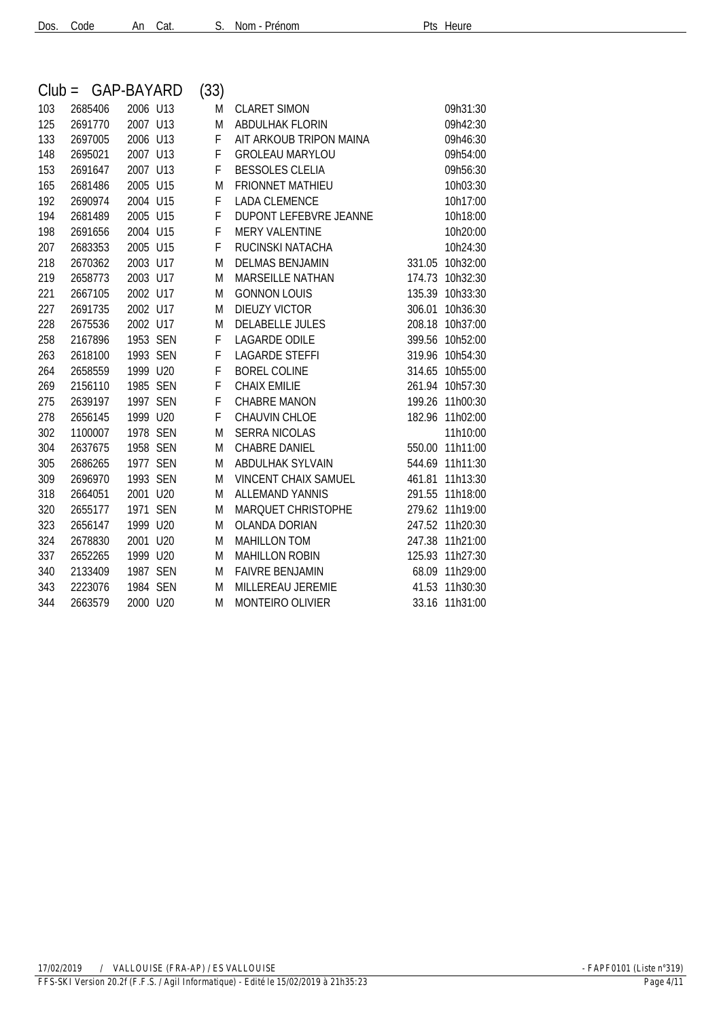| $Club =$ | GAP-BAYARD |          | (33) |                               |        |                 |
|----------|------------|----------|------|-------------------------------|--------|-----------------|
| 103      | 2685406    | 2006 U13 | M    | <b>CLARET SIMON</b>           |        | 09h31:30        |
| 125      | 2691770    | 2007 U13 | M    | ABDULHAK FLORIN               |        | 09h42:30        |
| 133      | 2697005    | 2006 U13 | F    | AIT ARKOUB TRIPON MAINA       |        | 09h46:30        |
| 148      | 2695021    | 2007 U13 | F    | <b>GROLEAU MARYLOU</b>        |        | 09h54:00        |
| 153      | 2691647    | 2007 U13 | F    | <b>BESSOLES CLELIA</b>        |        | 09h56:30        |
| 165      | 2681486    | 2005 U15 | M    | <b>FRIONNET MATHIEU</b>       |        | 10h03:30        |
| 192      | 2690974    | 2004 U15 | F    | <b>LADA CLEMENCE</b>          |        | 10h17:00        |
| 194      | 2681489    | 2005 U15 | F    | <b>DUPONT LEFEBVRE JEANNE</b> |        | 10h18:00        |
| 198      | 2691656    | 2004 U15 | F    | <b>MERY VALENTINE</b>         |        | 10h20:00        |
| 207      | 2683353    | 2005 U15 | F    | RUCINSKI NATACHA              |        | 10h24:30        |
| 218      | 2670362    | 2003 U17 | M    | <b>DELMAS BENJAMIN</b>        | 331.05 | 10h32:00        |
| 219      | 2658773    | 2003 U17 | M    | MARSEILLE NATHAN              | 174.73 | 10h32:30        |
| 221      | 2667105    | 2002 U17 | M    | <b>GONNON LOUIS</b>           |        | 135.39 10h33:30 |
| 227      | 2691735    | 2002 U17 | M    | <b>DIEUZY VICTOR</b>          | 306.01 | 10h36:30        |
| 228      | 2675536    | 2002 U17 | M    | <b>DELABELLE JULES</b>        |        | 208.18 10h37:00 |
| 258      | 2167896    | 1953 SEN | F    | <b>LAGARDE ODILE</b>          |        | 399.56 10h52:00 |
| 263      | 2618100    | 1993 SEN | F    | <b>LAGARDE STEFFI</b>         |        | 319.96 10h54:30 |
| 264      | 2658559    | 1999 U20 | F    | <b>BOREL COLINE</b>           |        | 314.65 10h55:00 |
| 269      | 2156110    | 1985 SEN | F    | <b>CHAIX EMILIE</b>           |        | 261.94 10h57:30 |
| 275      | 2639197    | 1997 SEN | F    | <b>CHABRE MANON</b>           |        | 199.26 11h00:30 |
| 278      | 2656145    | 1999 U20 | F.   | CHAUVIN CHLOE                 |        | 182.96 11h02:00 |
| 302      | 1100007    | 1978 SEN | M    | <b>SERRA NICOLAS</b>          |        | 11h10:00        |
| 304      | 2637675    | 1958 SEN | M    | <b>CHABRE DANIEL</b>          |        | 550.00 11h11:00 |
| 305      | 2686265    | 1977 SEN | M    | ABDULHAK SYLVAIN              |        | 544.69 11h11:30 |
| 309      | 2696970    | 1993 SEN | M    | <b>VINCENT CHAIX SAMUEL</b>   | 461.81 | 11h13:30        |
| 318      | 2664051    | 2001 U20 | M    | <b>ALLEMAND YANNIS</b>        | 291.55 | 11h18:00        |
| 320      | 2655177    | 1971 SEN | M    | MARQUET CHRISTOPHE            |        | 279.62 11h19:00 |
| 323      | 2656147    | 1999 U20 | M    | <b>OLANDA DORIAN</b>          |        | 247.52 11h20:30 |
| 324      | 2678830    | 2001 U20 | M    | <b>MAHILLON TOM</b>           |        | 247.38 11h21:00 |
| 337      | 2652265    | 1999 U20 | M    | <b>MAHILLON ROBIN</b>         | 125.93 | 11h27:30        |
| 340      | 2133409    | 1987 SEN | M    | <b>FAIVRE BENJAMIN</b>        |        | 68.09 11h29:00  |
| 343      | 2223076    | 1984 SEN | M    | MILLEREAU JEREMIE             |        | 41.53 11h30:30  |
| 344      | 2663579    | 2000 U20 | M    | <b>MONTEIRO OLIVIER</b>       |        | 33.16 11h31:00  |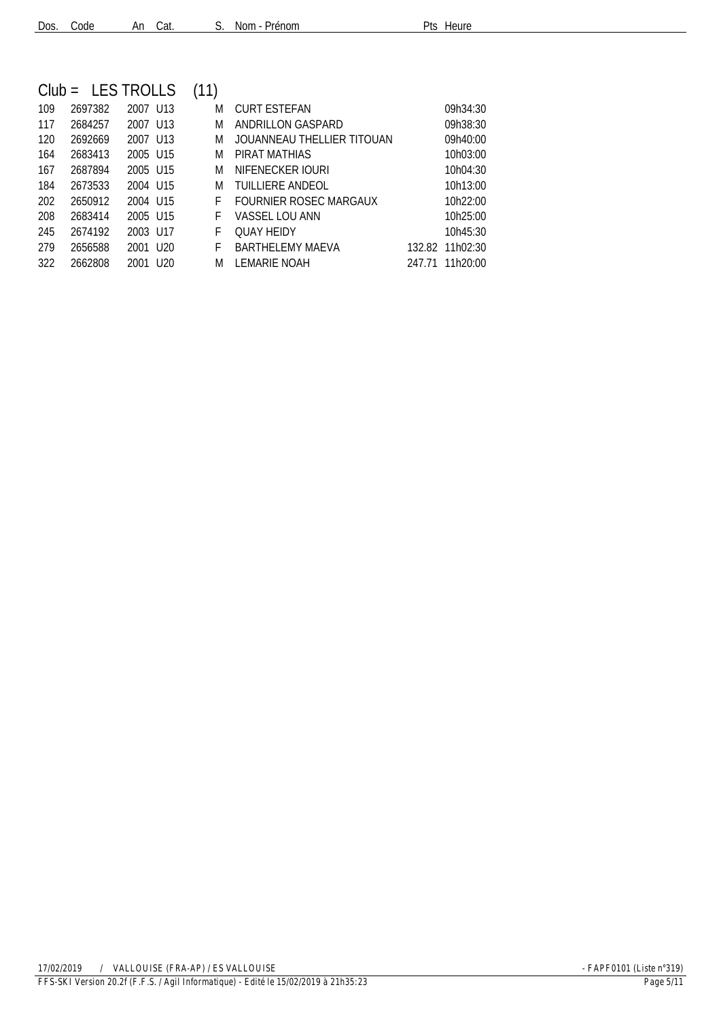| Dos. Code |  | An Cat. |  |  | S. Nom - Prénom |
|-----------|--|---------|--|--|-----------------|
|-----------|--|---------|--|--|-----------------|

|     |         | $Club = LES TROLLS$  | (11) |                            |                 |
|-----|---------|----------------------|------|----------------------------|-----------------|
| 109 | 2697382 | 2007 U13             | M    | CURT ESTEFAN               | 09h34:30        |
| 117 | 2684257 | 2007 U13             | M    | ANDRILLON GASPARD          | 09h38:30        |
| 120 | 2692669 | 2007 U13             | M    | JOUANNEAU THELLIER TITOUAN | 09h40:00        |
| 164 | 2683413 | 2005 U15             | M    | PIRAT MATHIAS              | 10h03:00        |
| 167 | 2687894 | 2005 U15             | M    | NIFENECKER IOURI           | 10h04:30        |
| 184 | 2673533 | 2004 U15             | M    | TUILLIERE ANDEOL           | 10h13:00        |
| 202 | 2650912 | 2004 U15             | F.   | FOURNIER ROSEC MARGAUX     | 10h22:00        |
| 208 | 2683414 | 2005 U15             | F.   | VASSEL LOU ANN             | 10h25:00        |
| 245 | 2674192 | 2003 U17             | F.   | <b>OUAY HEIDY</b>          | 10h45:30        |
| 279 | 2656588 | 2001 U <sub>20</sub> | F.   | BARTHELEMY MAEVA           | 132.82 11h02:30 |
| 322 | 2662808 | 2001 U <sub>20</sub> | M    | LEMARIE NOAH               | 247.71 11h20:00 |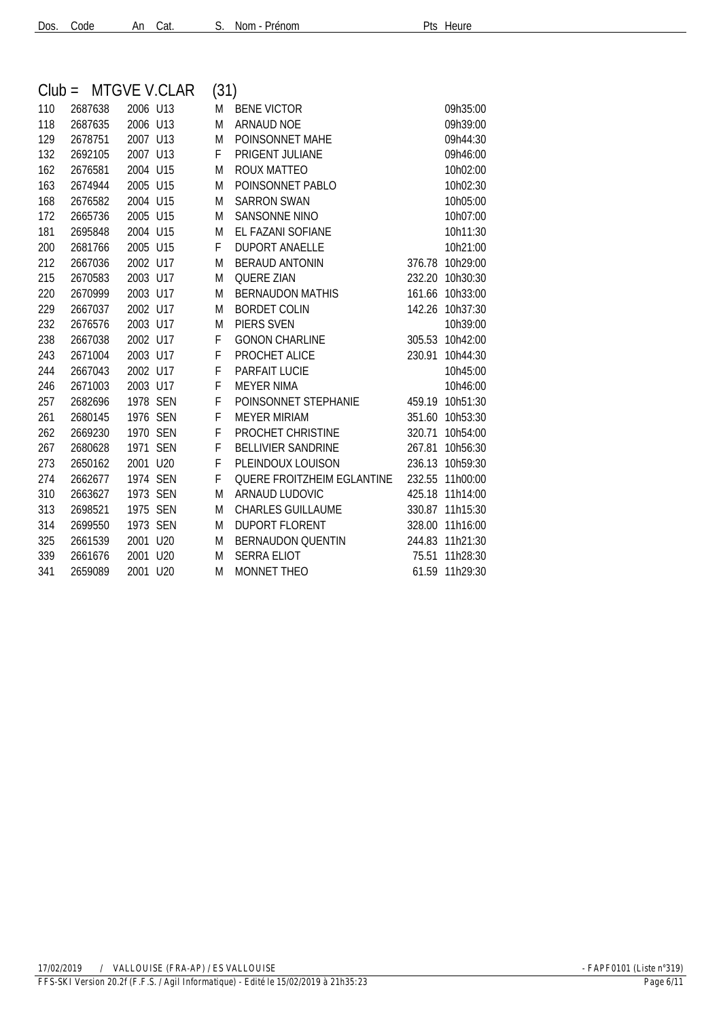| Dos. Code | An Cat. |  |
|-----------|---------|--|
|           |         |  |

|     | $Club = MTGVE V.CLAR$ |          | (31) |                            |        |                |
|-----|-----------------------|----------|------|----------------------------|--------|----------------|
| 110 | 2687638               | 2006 U13 | M    | <b>BENE VICTOR</b>         |        | 09h35:00       |
| 118 | 2687635               | 2006 U13 | M    | <b>ARNAUD NOE</b>          |        | 09h39:00       |
| 129 | 2678751               | 2007 U13 | M    | POINSONNET MAHE            |        | 09h44:30       |
| 132 | 2692105               | 2007 U13 | F    | PRIGENT JULIANE            |        | 09h46:00       |
| 162 | 2676581               | 2004 U15 | M    | ROUX MATTEO                |        | 10h02:00       |
| 163 | 2674944               | 2005 U15 | M    | POINSONNET PABLO           |        | 10h02:30       |
| 168 | 2676582               | 2004 U15 | M    | <b>SARRON SWAN</b>         |        | 10h05:00       |
| 172 | 2665736               | 2005 U15 | M    | <b>SANSONNE NINO</b>       |        | 10h07:00       |
| 181 | 2695848               | 2004 U15 | M    | EL FAZANI SOFIANE          |        | 10h11:30       |
| 200 | 2681766               | 2005 U15 | F    | <b>DUPORT ANAELLE</b>      |        | 10h21:00       |
| 212 | 2667036               | 2002 U17 | M    | <b>BERAUD ANTONIN</b>      | 376.78 | 10h29:00       |
| 215 | 2670583               | 2003 U17 | M    | <b>QUERE ZIAN</b>          | 232.20 | 10h30:30       |
| 220 | 2670999               | 2003 U17 | M    | <b>BERNAUDON MATHIS</b>    | 161.66 | 10h33:00       |
| 229 | 2667037               | 2002 U17 | M    | <b>BORDET COLIN</b>        | 142.26 | 10h37:30       |
| 232 | 2676576               | 2003 U17 | M    | PIERS SVEN                 |        | 10h39:00       |
| 238 | 2667038               | 2002 U17 | F    | <b>GONON CHARLINE</b>      | 305.53 | 10h42:00       |
| 243 | 2671004               | 2003 U17 | F    | PROCHET ALICE              | 230.91 | 10h44:30       |
| 244 | 2667043               | 2002 U17 | F    | PARFAIT LUCIE              |        | 10h45:00       |
| 246 | 2671003               | 2003 U17 | F    | <b>MEYER NIMA</b>          |        | 10h46:00       |
| 257 | 2682696               | 1978 SEN | F    | POINSONNET STEPHANIE       | 459.19 | 10h51:30       |
| 261 | 2680145               | 1976 SEN | F    | <b>MEYER MIRIAM</b>        | 351.60 | 10h53:30       |
| 262 | 2669230               | 1970 SEN | F    | PROCHET CHRISTINE          | 320.71 | 10h54:00       |
| 267 | 2680628               | 1971 SEN | F    | <b>BELLIVIER SANDRINE</b>  | 267.81 | 10h56:30       |
| 273 | 2650162               | 2001 U20 | F    | PLEINDOUX LOUISON          | 236.13 | 10h59:30       |
| 274 | 2662677               | 1974 SEN | F    | QUERE FROITZHEIM EGLANTINE | 232.55 | 11h00:00       |
| 310 | 2663627               | 1973 SEN | M    | ARNAUD LUDOVIC             | 425.18 | 11h14:00       |
| 313 | 2698521               | 1975 SEN | M    | <b>CHARLES GUILLAUME</b>   | 330.87 | 11h15:30       |
| 314 | 2699550               | 1973 SEN | M    | <b>DUPORT FLORENT</b>      | 328.00 | 11h16:00       |
| 325 | 2661539               | 2001 U20 | M    | <b>BERNAUDON QUENTIN</b>   | 244.83 | 11h21:30       |
| 339 | 2661676               | 2001 U20 | M    | <b>SERRA ELIOT</b>         | 75.51  | 11h28:30       |
| 341 | 2659089               | 2001 U20 | M    | <b>MONNET THEO</b>         |        | 61.59 11h29:30 |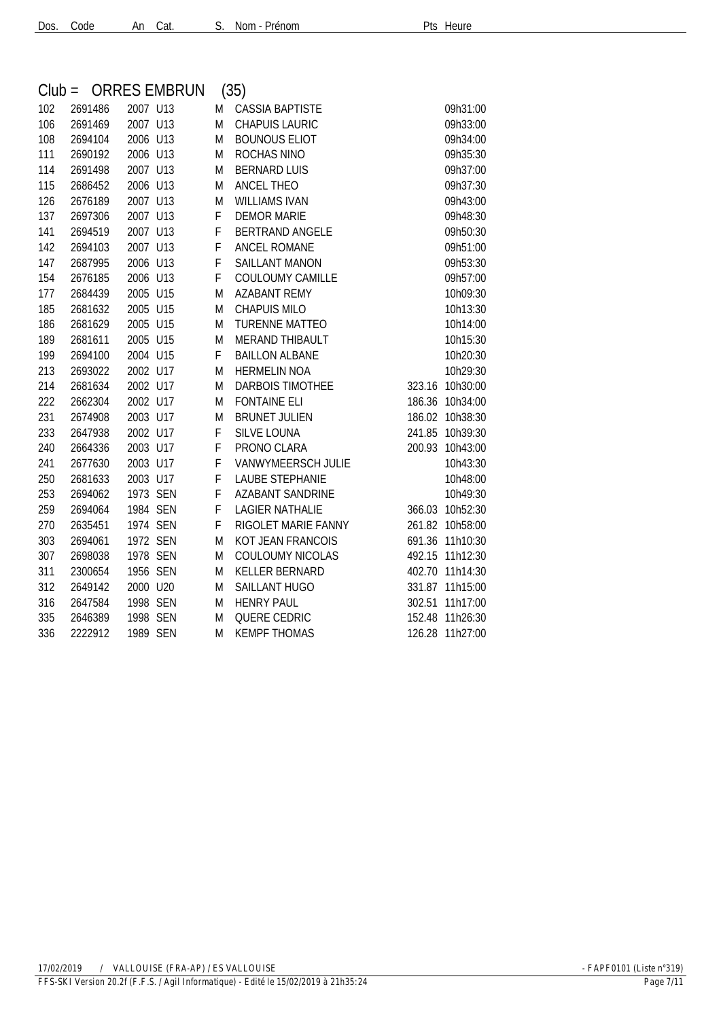| $Club =$ |         |          | <b>ORRES EMBRUN</b> |           | (35)                    |        |                 |
|----------|---------|----------|---------------------|-----------|-------------------------|--------|-----------------|
| 102      | 2691486 | 2007 U13 |                     | M         | <b>CASSIA BAPTISTE</b>  |        | 09h31:00        |
| 106      | 2691469 | 2007 U13 |                     | M         | <b>CHAPUIS LAURIC</b>   |        | 09h33:00        |
| 108      | 2694104 | 2006 U13 |                     | M         | <b>BOUNOUS ELIOT</b>    |        | 09h34:00        |
| 111      | 2690192 | 2006 U13 |                     | M         | ROCHAS NINO             |        | 09h35:30        |
| 114      | 2691498 | 2007 U13 |                     | M         | <b>BERNARD LUIS</b>     |        | 09h37:00        |
| 115      | 2686452 | 2006 U13 |                     | M         | <b>ANCEL THEO</b>       |        | 09h37:30        |
| 126      | 2676189 | 2007 U13 |                     | M         | <b>WILLIAMS IVAN</b>    |        | 09h43:00        |
| 137      | 2697306 | 2007 U13 |                     | F         | <b>DEMOR MARIE</b>      |        | 09h48:30        |
| 141      | 2694519 | 2007 U13 |                     | F         | <b>BERTRAND ANGELE</b>  |        | 09h50:30        |
| 142      | 2694103 | 2007 U13 |                     | F         | ANCEL ROMANE            |        | 09h51:00        |
| 147      | 2687995 | 2006 U13 |                     | F         | <b>SAILLANT MANON</b>   |        | 09h53:30        |
| 154      | 2676185 | 2006 U13 |                     | F         | COULOUMY CAMILLE        |        | 09h57:00        |
| 177      | 2684439 | 2005 U15 |                     | M         | <b>AZABANT REMY</b>     |        | 10h09:30        |
| 185      | 2681632 | 2005 U15 |                     | M         | <b>CHAPUIS MILO</b>     |        | 10h13:30        |
| 186      | 2681629 | 2005 U15 |                     | ${\sf M}$ | <b>TURENNE MATTEO</b>   |        | 10h14:00        |
| 189      | 2681611 | 2005 U15 |                     | M         | MERAND THIBAULT         |        | 10h15:30        |
| 199      | 2694100 | 2004 U15 |                     | F         | <b>BAILLON ALBANE</b>   |        | 10h20:30        |
| 213      | 2693022 | 2002 U17 |                     | M         | <b>HERMELIN NOA</b>     |        | 10h29:30        |
| 214      | 2681634 | 2002 U17 |                     | M         | <b>DARBOIS TIMOTHEE</b> |        | 323.16 10h30:00 |
| 222      | 2662304 | 2002 U17 |                     | M         | <b>FONTAINE ELI</b>     |        | 186.36 10h34:00 |
| 231      | 2674908 | 2003 U17 |                     | M         | <b>BRUNET JULIEN</b>    |        | 186.02 10h38:30 |
| 233      | 2647938 | 2002 U17 |                     | F         | <b>SILVE LOUNA</b>      |        | 241.85 10h39:30 |
| 240      | 2664336 | 2003 U17 |                     | F         | PRONO CLARA             | 200.93 | 10h43:00        |
| 241      | 2677630 | 2003 U17 |                     | F         | VANWYMEERSCH JULIE      |        | 10h43:30        |
| 250      | 2681633 | 2003 U17 |                     | F         | <b>LAUBE STEPHANIE</b>  |        | 10h48:00        |
| 253      | 2694062 | 1973 SEN |                     | F         | <b>AZABANT SANDRINE</b> |        | 10h49:30        |
| 259      | 2694064 | 1984 SEN |                     | F         | <b>LAGIER NATHALIE</b>  | 366.03 | 10h52:30        |
| 270      | 2635451 | 1974 SEN |                     | F         | RIGOLET MARIE FANNY     |        | 261.82 10h58:00 |
| 303      | 2694061 | 1972 SEN |                     | M         | KOT JEAN FRANCOIS       |        | 691.36 11h10:30 |
| 307      | 2698038 | 1978 SEN |                     | M         | COULOUMY NICOLAS        | 492.15 | 11h12:30        |
| 311      | 2300654 | 1956 SEN |                     | M         | KELLER BERNARD          | 402.70 | 11h14:30        |
| 312      | 2649142 | 2000 U20 |                     | M         | <b>SAILLANT HUGO</b>    |        | 331.87 11h15:00 |
| 316      | 2647584 | 1998 SEN |                     | M         | <b>HENRY PAUL</b>       | 302.51 | 11h17:00        |
| 335      | 2646389 | 1998 SEN |                     | M         | <b>QUERE CEDRIC</b>     |        | 152.48 11h26:30 |
| 336      | 2222912 | 1989 SEN |                     | M         | <b>KEMPF THOMAS</b>     |        | 126.28 11h27:00 |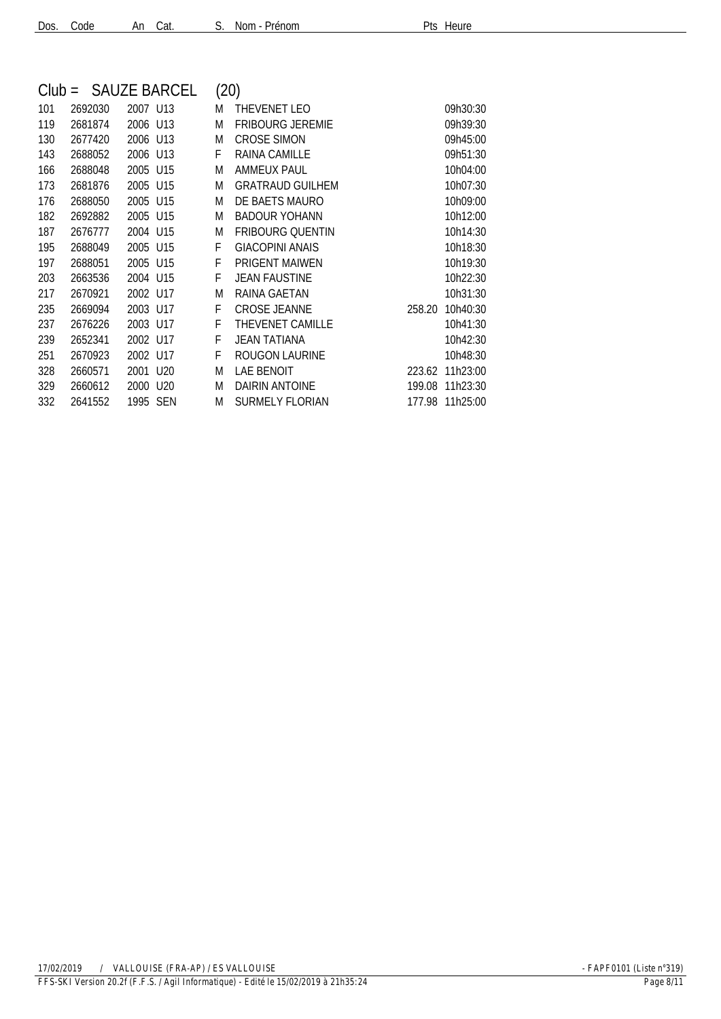| Dos. Code | An Cat. | $S.$ Nom - Pr |
|-----------|---------|---------------|
|           |         |               |

| enom: | Pts Heure |
|-------|-----------|
|       |           |

| $Club =$ |         |          | <b>SAUZE BARCEL</b> | (20) |                         |        |          |
|----------|---------|----------|---------------------|------|-------------------------|--------|----------|
| 101      | 2692030 | 2007 U13 |                     | M    | THEVENET LEO            |        | 09h30:30 |
| 119      | 2681874 | 2006 U13 |                     | M    | <b>FRIBOURG JEREMIE</b> |        | 09h39:30 |
| 130      | 2677420 | 2006 U13 |                     | M    | <b>CROSE SIMON</b>      |        | 09h45:00 |
| 143      | 2688052 | 2006 U13 |                     | F    | <b>RAINA CAMILLE</b>    |        | 09h51:30 |
| 166      | 2688048 | 2005     | U15                 | M    | <b>AMMEUX PAUL</b>      |        | 10h04:00 |
| 173      | 2681876 | 2005     | U15                 | M    | <b>GRATRAUD GUILHEM</b> |        | 10h07:30 |
| 176      | 2688050 | 2005     | U15                 | M    | DE BAETS MAURO          |        | 10h09:00 |
| 182      | 2692882 | 2005     | U <sub>15</sub>     | M    | <b>BADOUR YOHANN</b>    |        | 10h12:00 |
| 187      | 2676777 | 2004 U15 |                     | M    | <b>FRIBOURG OUENTIN</b> |        | 10h14:30 |
| 195      | 2688049 | 2005     | U15                 | F    | <b>GIACOPINI ANAIS</b>  |        | 10h18:30 |
| 197      | 2688051 | 2005     | U15                 | F    | <b>PRIGENT MAIWEN</b>   |        | 10h19:30 |
| 203      | 2663536 | 2004 U15 |                     | F    | <b>JEAN FAUSTINE</b>    |        | 10h22:30 |
| 217      | 2670921 | 2002 U17 |                     | M    | RAINA GAETAN            |        | 10h31:30 |
| 235      | 2669094 | 2003 U17 |                     | F    | <b>CROSE JEANNE</b>     | 258.20 | 10h40:30 |
| 237      | 2676226 | 2003 U17 |                     | F    | THEVENET CAMILLE        |        | 10h41:30 |
| 239      | 2652341 | 2002     | U17                 | F    | <b>JEAN TATIANA</b>     |        | 10h42:30 |
| 251      | 2670923 | 2002     | U17                 | F    | <b>ROUGON LAURINE</b>   |        | 10h48:30 |
| 328      | 2660571 | 2001     | U20                 | M    | <b>LAE BENOIT</b>       | 223.62 | 11h23:00 |
| 329      | 2660612 | 2000     | U20                 | M    | DAIRIN ANTOINE          | 199.08 | 11h23:30 |
| 332      | 2641552 | 1995     | SEN                 | M    | <b>SURMELY FLORIAN</b>  | 177.98 | 11h25:00 |
|          |         |          |                     |      |                         |        |          |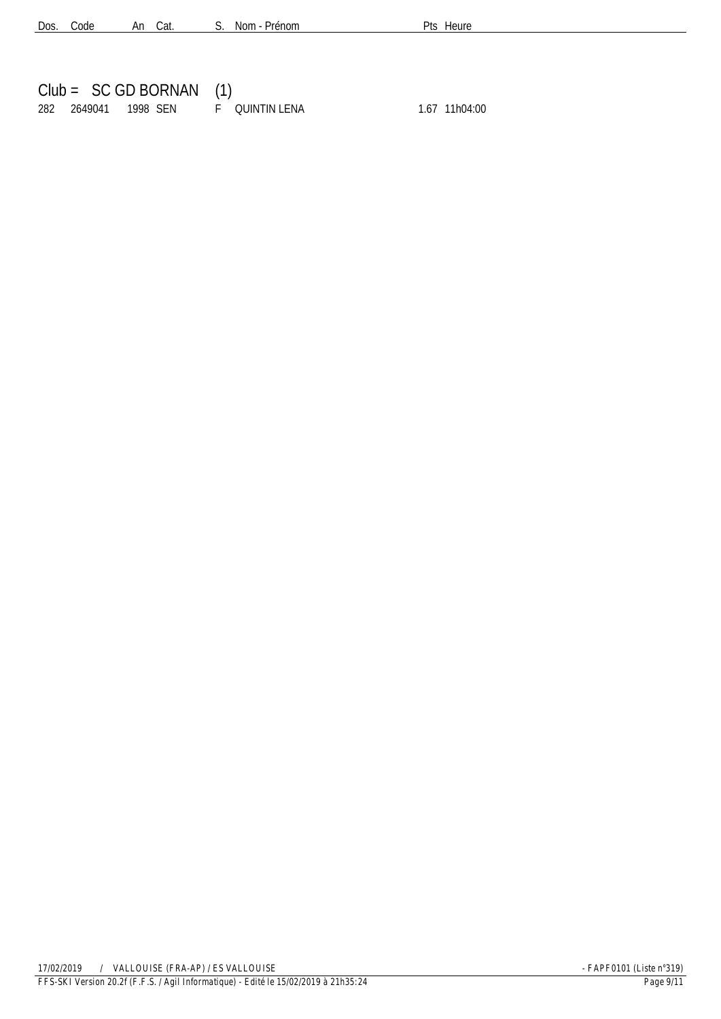|  | $Club = SC GD BORMAN (1)$                 |  |               |
|--|-------------------------------------------|--|---------------|
|  | 282  2649041  1998  SEN   F  QUINTIN LENA |  | 1.67 11h04:00 |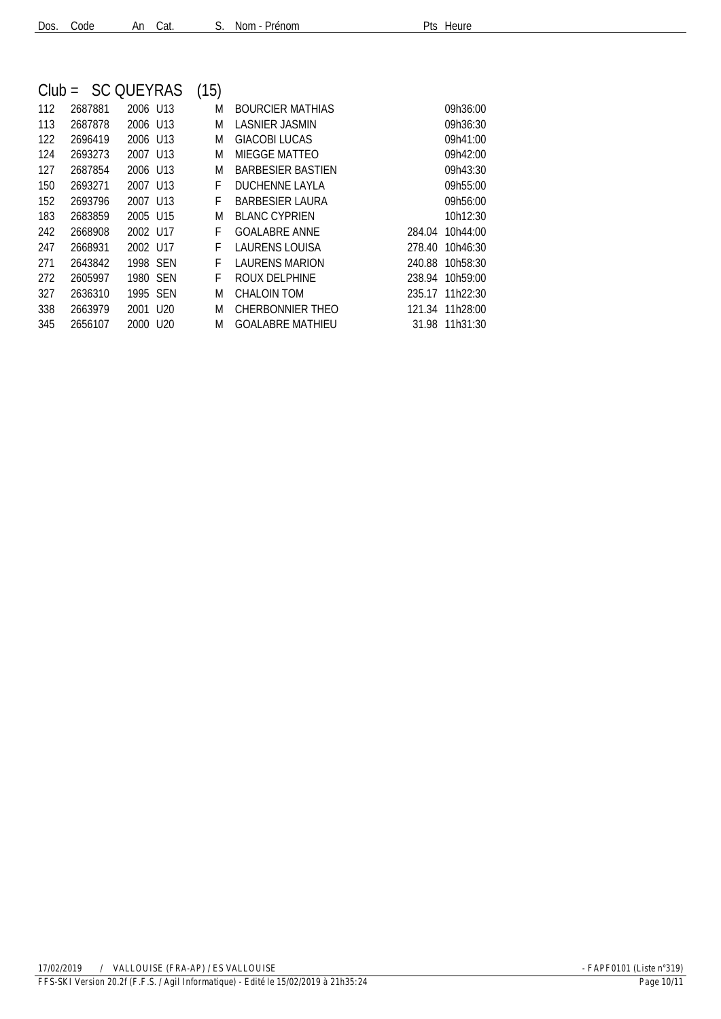| $Club =$ |         | <b>SC QUEYRAS</b>    |     | (15) |                          |        |                 |
|----------|---------|----------------------|-----|------|--------------------------|--------|-----------------|
| 112      | 2687881 | 2006 U13             |     | M    | <b>BOURCIER MATHIAS</b>  |        | 09h36:00        |
| 113      | 2687878 | 2006 U13             |     | M    | LASNIER JASMIN           |        | 09h36:30        |
| 122      | 2696419 | 2006 U13             |     | M    | <b>GIACOBI LUCAS</b>     |        | 09h41:00        |
| 124      | 2693273 | 2007 U13             |     | M    | <b>MIEGGE MATTEO</b>     |        | 09h42:00        |
| 127      | 2687854 | 2006 U13             |     | M    | <b>BARBESIER BASTIEN</b> |        | 09h43:30        |
| 150      | 2693271 | 2007 U13             |     | F    | <b>DUCHENNE LAYLA</b>    |        | 09h55:00        |
| 152      | 2693796 | 2007 U13             |     | F    | <b>BARBESIER LAURA</b>   |        | 09h56:00        |
| 183      | 2683859 | 2005 U15             |     | M    | <b>BLANC CYPRIEN</b>     |        | 10h12:30        |
| 242      | 2668908 | 2002 U17             |     | F    | <b>GOALABRE ANNE</b>     | 284.04 | 10h44:00        |
| 247      | 2668931 | 2002 U17             |     | F    | LAURENS LOUISA           | 278.40 | 10h46:30        |
| 271      | 2643842 | 1998 SEN             |     | F    | <b>LAURENS MARION</b>    |        | 240.88 10h58:30 |
| 272      | 2605997 | 1980 SEN             |     | F    | ROUX DELPHINE            | 238.94 | 10h59:00        |
| 327      | 2636310 | 1995 SEN             |     | M    | CHALOIN TOM              |        | 235.17 11h22:30 |
| 338      | 2663979 | 2001 U <sub>20</sub> |     | M    | CHERBONNIER THEO         |        | 121.34 11h28:00 |
| 345      | 2656107 | 2000                 | U20 | M    | GOALABRE MATHIEU         |        | 31.98 11h31:30  |
|          |         |                      |     |      |                          |        |                 |